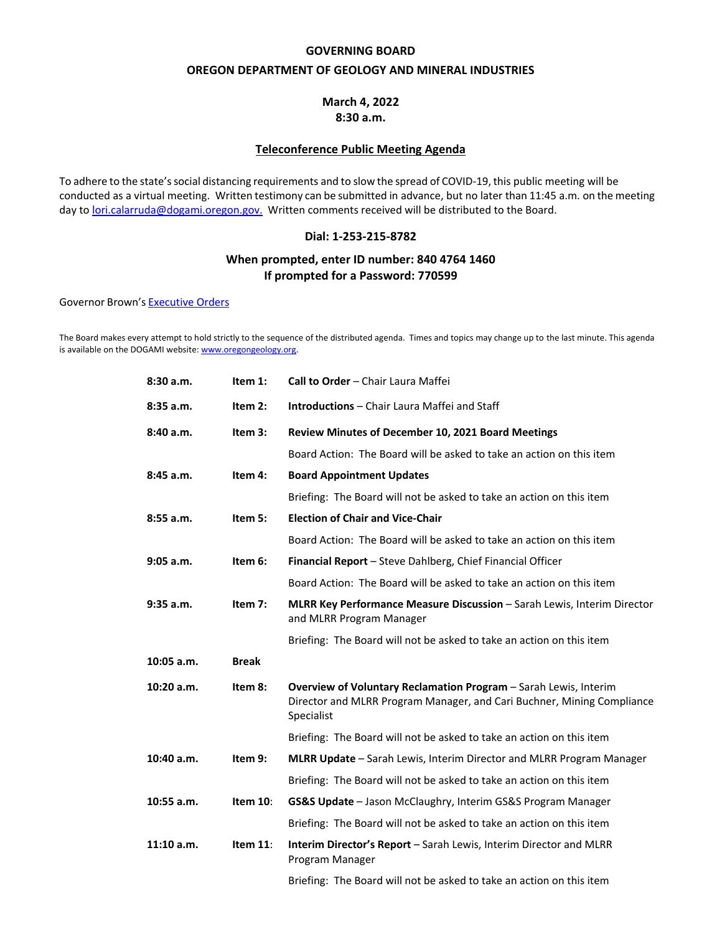### **GOVERNING BOARD**

### **OREGON DEPARTMENT OF GEOLOGY AND MINERAL INDUSTRIES**

## **March 4, 2022 8:30 a.m.**

### **Teleconference Public Meeting Agenda**

To adhere to the state'ssocial distancing requirements and to slow the spread of COVID-19, this public meeting will be conducted as a virtual meeting. Written testimony can be submitted in advance, but no later than 11:45 a.m. on the meeting day to [lori.calarruda@dogami.oregon.gov.](mailto:lori.calarruda@dogami.oregon.gov.) Written comments received will be distributed to the Board.

## **Dial: 1-253-215-8782**

## **When prompted, enter ID number: 840 4764 1460 If prompted for a Password: 770599**

Governor Brown's [Executive](https://www.oregon.gov/gov/admin/Pages/executive-orders.aspx) [Orders](https://www.oregon.gov/gov/admin/Pages/executive-orders.aspx)

The Board makes every attempt to hold strictly to the sequence of the distributed agenda. Times and topics may change up to the last minute. This agenda is available on the DOGAMI website[: www.oregongeology.org.](http://www.oregongeology.org/)

| 8:30 a.m.    | Item 1:      | Call to Order - Chair Laura Maffei                                                                                                                       |
|--------------|--------------|----------------------------------------------------------------------------------------------------------------------------------------------------------|
| 8:35 a.m.    | Item $2:$    | <b>Introductions</b> - Chair Laura Maffei and Staff                                                                                                      |
| 8:40 a.m.    | Item 3:      | Review Minutes of December 10, 2021 Board Meetings                                                                                                       |
|              |              | Board Action: The Board will be asked to take an action on this item                                                                                     |
| 8:45 a.m.    | Item 4:      | <b>Board Appointment Updates</b>                                                                                                                         |
|              |              | Briefing: The Board will not be asked to take an action on this item                                                                                     |
| 8:55 a.m.    | Item 5:      | <b>Election of Chair and Vice-Chair</b>                                                                                                                  |
|              |              | Board Action: The Board will be asked to take an action on this item                                                                                     |
| 9:05 a.m.    | Item 6:      | <b>Financial Report</b> – Steve Dahlberg, Chief Financial Officer                                                                                        |
|              |              | Board Action: The Board will be asked to take an action on this item                                                                                     |
| $9:35$ a.m.  | Item 7:      | MLRR Key Performance Measure Discussion - Sarah Lewis, Interim Director<br>and MLRR Program Manager                                                      |
|              |              | Briefing: The Board will not be asked to take an action on this item                                                                                     |
| $10:05$ a.m. | <b>Break</b> |                                                                                                                                                          |
| $10:20$ a.m. | Item 8:      | Overview of Voluntary Reclamation Program - Sarah Lewis, Interim<br>Director and MLRR Program Manager, and Cari Buchner, Mining Compliance<br>Specialist |
|              |              | Briefing: The Board will not be asked to take an action on this item                                                                                     |
| 10:40 a.m.   | Item 9:      | <b>MLRR Update</b> – Sarah Lewis, Interim Director and MLRR Program Manager                                                                              |
|              |              | Briefing: The Board will not be asked to take an action on this item                                                                                     |
| 10:55 a.m.   | Item 10:     | GS&S Update - Jason McClaughry, Interim GS&S Program Manager                                                                                             |
|              |              | Briefing: The Board will not be asked to take an action on this item                                                                                     |
| 11:10a.m.    | Item $11$ :  | Interim Director's Report - Sarah Lewis, Interim Director and MLRR<br>Program Manager                                                                    |
|              |              |                                                                                                                                                          |